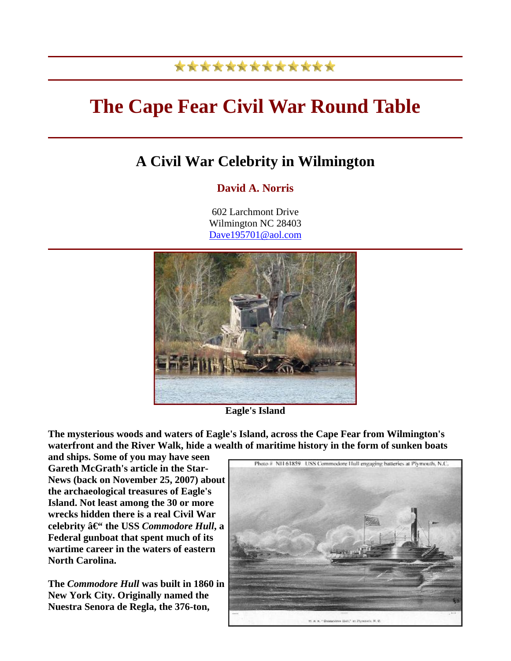## \*\*\*\*\*\*\*\*\*\*\*\*\*

## **The Cape Fear Civil War Round Table**

## **A Civil War Celebrity in Wilmington**

## **David A. Norris**

602 Larchmont Drive Wilmington NC 28403 [Dave195701@aol.com](mailto:Dave195701@aol.com)



**Eagle's Island**

**The mysterious woods and waters of Eagle's Island, across the Cape Fear from Wilmington's waterfront and the River Walk, hide a wealth of maritime history in the form of sunken boats** 

**and ships. Some of you may have seen Gareth McGrath's article in the Star-News (back on November 25, 2007) about the archaeological treasures of Eagle's Island. Not least among the 30 or more wrecks hidden there is a real Civil War celebrity**  $\hat{a} \in \text{`the USS } \text{Common}$  **Hull, a Federal gunboat that spent much of its wartime career in the waters of eastern North Carolina.**

**The** *Commodore Hull* **was built in 1860 in New York City. Originally named the Nuestra Senora de Regla, the 376-ton,** 

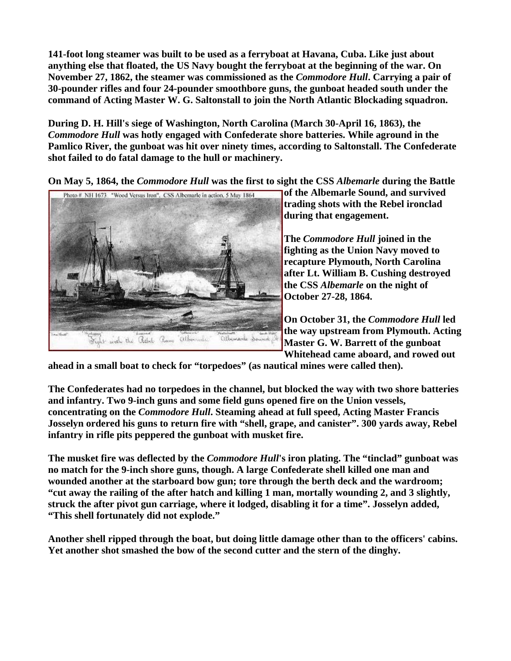**141-foot long steamer was built to be used as a ferryboat at Havana, Cuba. Like just about anything else that floated, the US Navy bought the ferryboat at the beginning of the war. On November 27, 1862, the steamer was commissioned as the** *Commodore Hull***. Carrying a pair of 30-pounder rifles and four 24-pounder smoothbore guns, the gunboat headed south under the command of Acting Master W. G. Saltonstall to join the North Atlantic Blockading squadron.**

**During D. H. Hill's siege of Washington, North Carolina (March 30-April 16, 1863), the**  *Commodore Hull* **was hotly engaged with Confederate shore batteries. While aground in the Pamlico River, the gunboat was hit over ninety times, according to Saltonstall. The Confederate shot failed to do fatal damage to the hull or machinery.**

**On May 5, 1864, the** *Commodore Hull* **was the first to sight the CSS** *Albemarle* **during the Battle** 



**of the Albemarle Sound, and survived trading shots with the Rebel ironclad during that engagement.**

**The** *Commodore Hull* **joined in the fighting as the Union Navy moved to recapture Plymouth, North Carolina after Lt. William B. Cushing destroyed the CSS** *Albemarle* **on the night of October 27-28, 1864.**

**On October 31, the** *Commodore Hull* **led the way upstream from Plymouth. Acting Master G. W. Barrett of the gunboat Whitehead came aboard, and rowed out** 

**ahead in a small boat to check for "torpedoes" (as nautical mines were called then).**

**The Confederates had no torpedoes in the channel, but blocked the way with two shore batteries and infantry. Two 9-inch guns and some field guns opened fire on the Union vessels, concentrating on the** *Commodore Hull***. Steaming ahead at full speed, Acting Master Francis Josselyn ordered his guns to return fire with "shell, grape, and canister". 300 yards away, Rebel infantry in rifle pits peppered the gunboat with musket fire.** 

**The musket fire was deflected by the** *Commodore Hull***'s iron plating. The "tinclad" gunboat was no match for the 9-inch shore guns, though. A large Confederate shell killed one man and wounded another at the starboard bow gun; tore through the berth deck and the wardroom; "cut away the railing of the after hatch and killing 1 man, mortally wounding 2, and 3 slightly, struck the after pivot gun carriage, where it lodged, disabling it for a time". Josselyn added, "This shell fortunately did not explode."**

**Another shell ripped through the boat, but doing little damage other than to the officers' cabins. Yet another shot smashed the bow of the second cutter and the stern of the dinghy.**